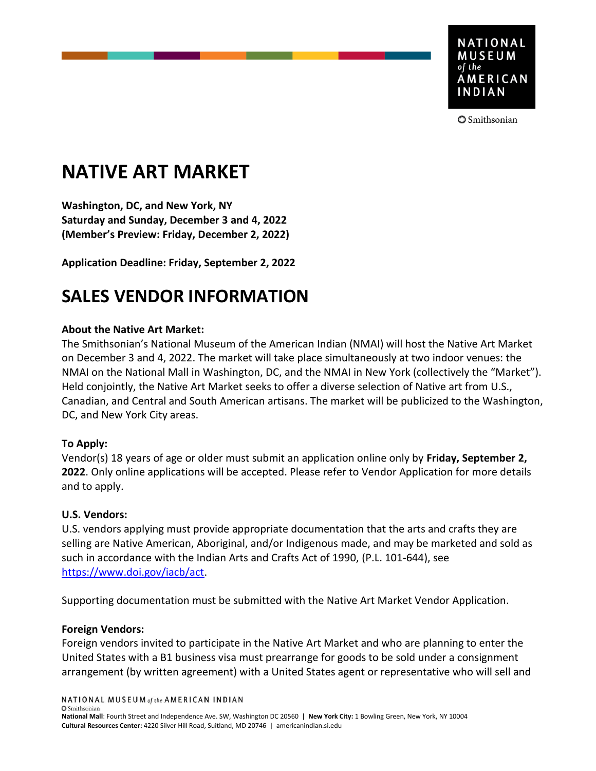

**3** Smithsonian

# **NATIVE ART MARKET**

**Washington, DC, and New York, NY Saturday and Sunday, December 3 and 4, 2022 (Member's Preview: Friday, December 2, 2022)** 

**Application Deadline: Friday, September 2, 2022**

## **SALES VENDOR INFORMATION**

#### **About the Native Art Market:**

The Smithsonian's National Museum of the American Indian (NMAI) will host the Native Art Market on December 3 and 4, 2022. The market will take place simultaneously at two indoor venues: the NMAI on the National Mall in Washington, DC, and the NMAI in New York (collectively the "Market"). Held conjointly, the Native Art Market seeks to offer a diverse selection of Native art from U.S., Canadian, and Central and South American artisans. The market will be publicized to the Washington, DC, and New York City areas.

#### **To Apply:**

Vendor(s) 18 years of age or older must submit an application online only by **Friday, September 2, 2022**. Only online applications will be accepted. Please refer to Vendor Application for more details and to apply.

#### **U.S. Vendors:**

U.S. vendors applying must provide appropriate documentation that the arts and crafts they are selling are Native American, Aboriginal, and/or Indigenous made, and may be marketed and sold as such in accordance with the Indian Arts and Crafts Act of 1990, (P.L. 101-644), see [https://www.doi.gov/iacb/act.](https://www.doi.gov/iacb/act)

Supporting documentation must be submitted with the Native Art Market Vendor Application.

#### **Foreign Vendors:**

Foreign vendors invited to participate in the Native Art Market and who are planning to enter the United States with a B1 business visa must prearrange for goods to be sold under a consignment arrangement (by written agreement) with a United States agent or representative who will sell and

NATIONAL MUSEUM of the AMERICAN INDIAN

**O** Smithsonian

**National Mall**: Fourth Street and Independence Ave. SW, Washington DC 20560 | **New York City:** 1 Bowling Green, New York, NY 10004 **Cultural Resources Center:** 4220 Silver Hill Road, Suitland, MD 20746 | americanindian.si.edu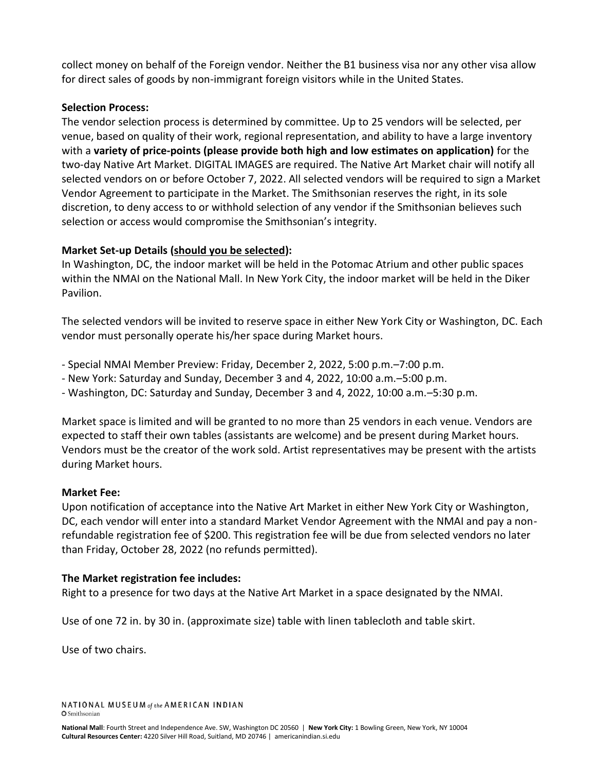collect money on behalf of the Foreign vendor. Neither the B1 business visa nor any other visa allow for direct sales of goods by non-immigrant foreign visitors while in the United States.

#### **Selection Process:**

The vendor selection process is determined by committee. Up to 25 vendors will be selected, per venue, based on quality of their work, regional representation, and ability to have a large inventory with a **variety of price-points (please provide both high and low estimates on application)** for the two-day Native Art Market. DIGITAL IMAGES are required. The Native Art Market chair will notify all selected vendors on or before October 7, 2022. All selected vendors will be required to sign a Market Vendor Agreement to participate in the Market. The Smithsonian reserves the right, in its sole discretion, to deny access to or withhold selection of any vendor if the Smithsonian believes such selection or access would compromise the Smithsonian's integrity.

#### **Market Set-up Details (should you be selected):**

In Washington, DC, the indoor market will be held in the Potomac Atrium and other public spaces within the NMAI on the National Mall. In New York City, the indoor market will be held in the Diker Pavilion.

The selected vendors will be invited to reserve space in either New York City or Washington, DC. Each vendor must personally operate his/her space during Market hours.

- Special NMAI Member Preview: Friday, December 2, 2022, 5:00 p.m.–7:00 p.m.
- New York: Saturday and Sunday, December 3 and 4, 2022, 10:00 a.m.–5:00 p.m.
- Washington, DC: Saturday and Sunday, December 3 and 4, 2022, 10:00 a.m.–5:30 p.m.

Market space is limited and will be granted to no more than 25 vendors in each venue. Vendors are expected to staff their own tables (assistants are welcome) and be present during Market hours. Vendors must be the creator of the work sold. Artist representatives may be present with the artists during Market hours.

#### **Market Fee:**

Upon notification of acceptance into the Native Art Market in either New York City or Washington, DC, each vendor will enter into a standard Market Vendor Agreement with the NMAI and pay a nonrefundable registration fee of \$200. This registration fee will be due from selected vendors no later than Friday, October 28, 2022 (no refunds permitted).

#### **The Market registration fee includes:**

Right to a presence for two days at the Native Art Market in a space designated by the NMAI.

Use of one 72 in. by 30 in. (approximate size) table with linen tablecloth and table skirt.

Use of two chairs.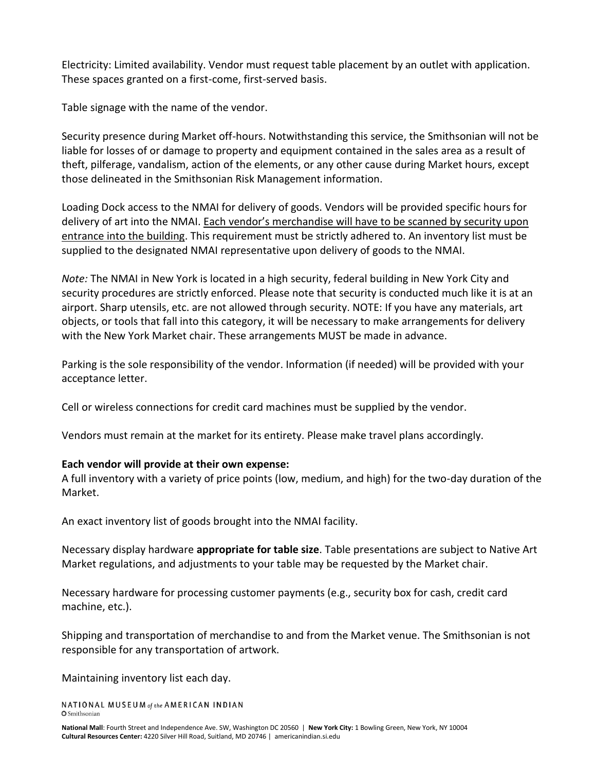Electricity: Limited availability. Vendor must request table placement by an outlet with application. These spaces granted on a first-come, first-served basis.

Table signage with the name of the vendor.

Security presence during Market off-hours. Notwithstanding this service, the Smithsonian will not be liable for losses of or damage to property and equipment contained in the sales area as a result of theft, pilferage, vandalism, action of the elements, or any other cause during Market hours, except those delineated in the Smithsonian Risk Management information.

Loading Dock access to the NMAI for delivery of goods. Vendors will be provided specific hours for delivery of art into the NMAI. Each vendor's merchandise will have to be scanned by security upon entrance into the building. This requirement must be strictly adhered to. An inventory list must be supplied to the designated NMAI representative upon delivery of goods to the NMAI.

*Note:* The NMAI in New York is located in a high security, federal building in New York City and security procedures are strictly enforced. Please note that security is conducted much like it is at an airport. Sharp utensils, etc. are not allowed through security. NOTE: If you have any materials, art objects, or tools that fall into this category, it will be necessary to make arrangements for delivery with the New York Market chair. These arrangements MUST be made in advance.

Parking is the sole responsibility of the vendor. Information (if needed) will be provided with your acceptance letter.

Cell or wireless connections for credit card machines must be supplied by the vendor.

Vendors must remain at the market for its entirety. Please make travel plans accordingly.

#### **Each vendor will provide at their own expense:**

A full inventory with a variety of price points (low, medium, and high) for the two-day duration of the Market.

An exact inventory list of goods brought into the NMAI facility.

Necessary display hardware **appropriate for table size**. Table presentations are subject to Native Art Market regulations, and adjustments to your table may be requested by the Market chair.

Necessary hardware for processing customer payments (e.g., security box for cash, credit card machine, etc.).

Shipping and transportation of merchandise to and from the Market venue. The Smithsonian is not responsible for any transportation of artwork.

Maintaining inventory list each day.

NATIONAL MUSEUM of the AMERICAN INDIAN **O** Smithsonian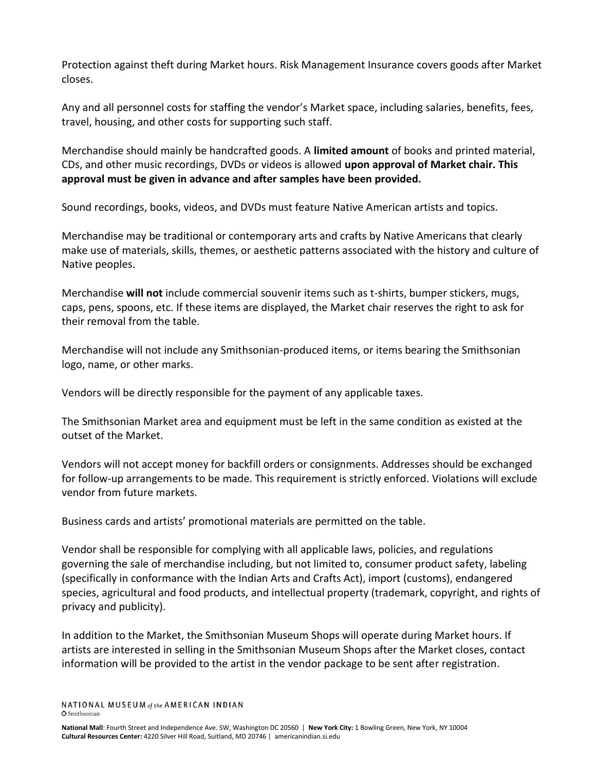Protection against theft during Market hours. Risk Management Insurance covers goods after Market closes.

Any and all personnel costs for staffing the vendor's Market space, including salaries, benefits, fees, travel, housing, and other costs for supporting such staff.

Merchandise should mainly be handcrafted goods. A **limited amount** of books and printed material, CDs, and other music recordings, DVDs or videos is allowed **upon approval of Market chair. This approval must be given in advance and after samples have been provided.**

Sound recordings, books, videos, and DVDs must feature Native American artists and topics.

Merchandise may be traditional or contemporary arts and crafts by Native Americans that clearly make use of materials, skills, themes, or aesthetic patterns associated with the history and culture of Native peoples.

Merchandise **will not** include commercial souvenir items such as t-shirts, bumper stickers, mugs, caps, pens, spoons, etc. If these items are displayed, the Market chair reserves the right to ask for their removal from the table.

Merchandise will not include any Smithsonian-produced items, or items bearing the Smithsonian logo, name, or other marks.

Vendors will be directly responsible for the payment of any applicable taxes.

The Smithsonian Market area and equipment must be left in the same condition as existed at the outset of the Market.

Vendors will not accept money for backfill orders or consignments. Addresses should be exchanged for follow-up arrangements to be made. This requirement is strictly enforced. Violations will exclude vendor from future markets.

Business cards and artists' promotional materials are permitted on the table.

Vendor shall be responsible for complying with all applicable laws, policies, and regulations governing the sale of merchandise including, but not limited to, consumer product safety, labeling (specifically in conformance with the Indian Arts and Crafts Act), import (customs), endangered species, agricultural and food products, and intellectual property (trademark, copyright, and rights of privacy and publicity).

In addition to the Market, the Smithsonian Museum Shops will operate during Market hours. If artists are interested in selling in the Smithsonian Museum Shops after the Market closes, contact information will be provided to the artist in the vendor package to be sent after registration.

NATIONAL MUSEUM of the AMERICAN INDIAN **O** Smithsonian